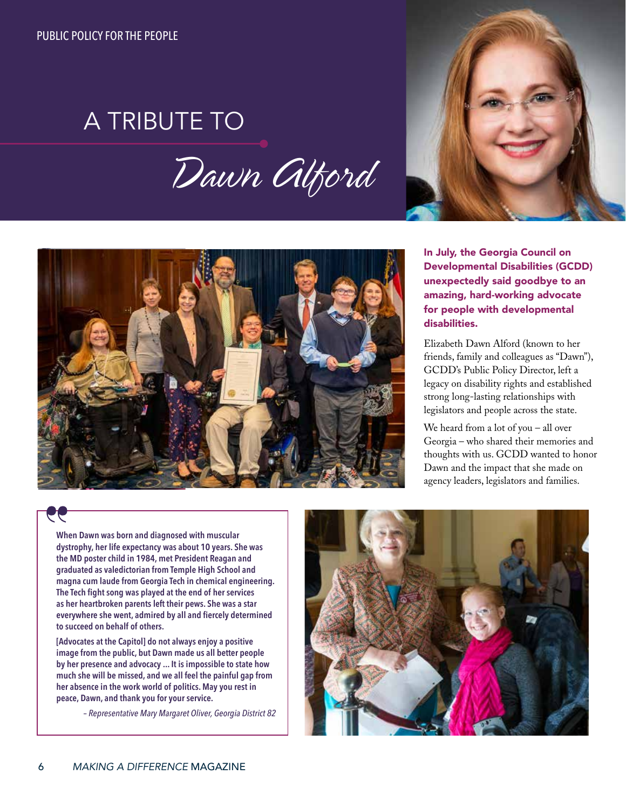## A TRIBUTE TO

## *Dawn Alford*





In July, the Georgia Council on Developmental Disabilities (GCDD) unexpectedly said goodbye to an amazing, hard-working advocate for people with developmental disabilities.

Elizabeth Dawn Alford (known to her friends, family and colleagues as "Dawn"), GCDD's Public Policy Director, left a legacy on disability rights and established strong long-lasting relationships with legislators and people across the state.

We heard from a lot of you – all over Georgia – who shared their memories and thoughts with us. GCDD wanted to honor Dawn and the impact that she made on agency leaders, legislators and families.

## 99

**When Dawn was born and diagnosed with muscular dystrophy, her life expectancy was about 10 years. She was the MD poster child in 1984, met President Reagan and graduated as valedictorian from Temple High School and magna cum laude from Georgia Tech in chemical engineering. The Tech fight song was played at the end of her services as her heartbroken parents left their pews. She was a star everywhere she went, admired by all and fiercely determined to succeed on behalf of others.** 

**[Advocates at the Capitol] do not always enjoy a positive image from the public, but Dawn made us all better people by her presence and advocacy ... It is impossible to state how much she will be missed, and we all feel the painful gap from her absence in the work world of politics. May you rest in peace, Dawn, and thank you for your service.** 

*– Representative Mary Margaret Oliver, Georgia District 82*